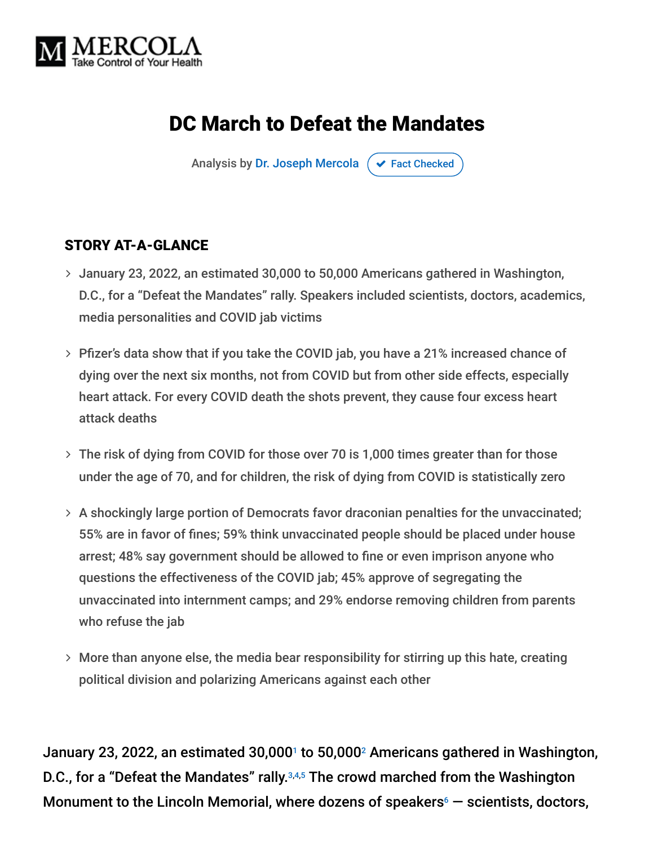

# DC March to Defeat the Mandates

Analysis by [Dr. Joseph Mercola](https://www.mercola.com/forms/background.htm)  $\sigma$  [Fact Checked](javascript:void(0))

#### STORY AT-A-GLANCE

- January 23, 2022, an estimated 30,000 to 50,000 Americans gathered in Washington, D.C., for a "Defeat the Mandates" rally. Speakers included scientists, doctors, academics, media personalities and COVID jab victims
- Pfizer's data show that if you take the COVID jab, you have a 21% increased chance of dying over the next six months, not from COVID but from other side effects, especially heart attack. For every COVID death the shots prevent, they cause four excess heart attack deaths
- The risk of dying from COVID for those over 70 is 1,000 times greater than for those under the age of 70, and for children, the risk of dying from COVID is statistically zero
- A shockingly large portion of Democrats favor draconian penalties for the unvaccinated; 55% are in favor of fines; 59% think unvaccinated people should be placed under house arrest; 48% say government should be allowed to fine or even imprison anyone who questions the effectiveness of the COVID jab; 45% approve of segregating the unvaccinated into internment camps; and 29% endorse removing children from parents who refuse the jab
- More than anyone else, the media bear responsibility for stirring up this hate, creating political division and polarizing Americans against each other

January 23, 2022, an estimated 30,000<sup>1</sup> to 50,000<sup>2</sup> Americans gathered in Washington, D.C., for a "Defeat the Mandates" rally.<sup>3,4,5</sup> The crowd marched from the Washington Monument to the Lincoln Memorial, where dozens of speakers $\epsilon$   $-$  scientists, doctors,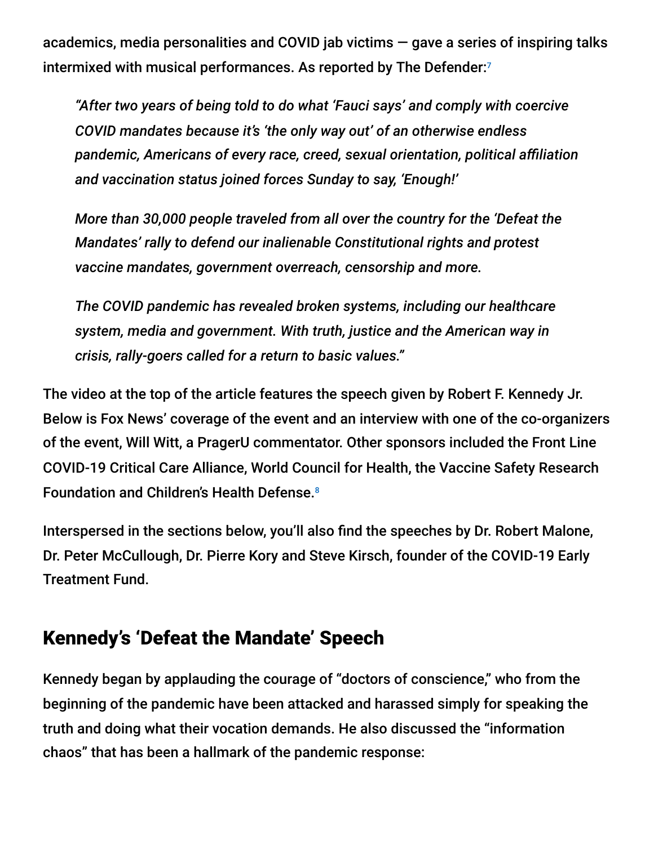academics, media personalities and COVID jab victims — gave a series of inspiring talks intermixed with musical performances. As reported by The Defender: 7

*"After two years of being told to do what 'Fauci says' and comply with coercive COVID mandates because it's 'the only way out' of an otherwise endless pandemic, Americans of every race, creed, sexual orientation, political affiliation and vaccination status joined forces Sunday to say, 'Enough!'*

*More than 30,000 people traveled from all over the country for the 'Defeat the Mandates' rally to defend our inalienable Constitutional rights and protest vaccine mandates, government overreach, censorship and more.*

*The COVID pandemic has revealed broken systems, including our healthcare system, media and government. With truth, justice and the American way in crisis, rally-goers called for a return to basic values."*

The video at the top of the article features the speech given by Robert F. Kennedy Jr. Below is Fox News' coverage of the event and an interview with one of the co-organizers of the event, Will Witt, a PragerU commentator. Other sponsors included the Front Line COVID-19 Critical Care Alliance, World Council for Health, the Vaccine Safety Research Foundation and Children's Health Defense. 8

Interspersed in the sections below, you'll also find the speeches by Dr. Robert Malone, Dr. Peter McCullough, Dr. Pierre Kory and Steve Kirsch, founder of the COVID-19 Early Treatment Fund.

### Kennedy's 'Defeat the Mandate' Speech

Kennedy began by applauding the courage of "doctors of conscience," who from the beginning of the pandemic have been attacked and harassed simply for speaking the truth and doing what their vocation demands. He also discussed the "information chaos" that has been a hallmark of the pandemic response: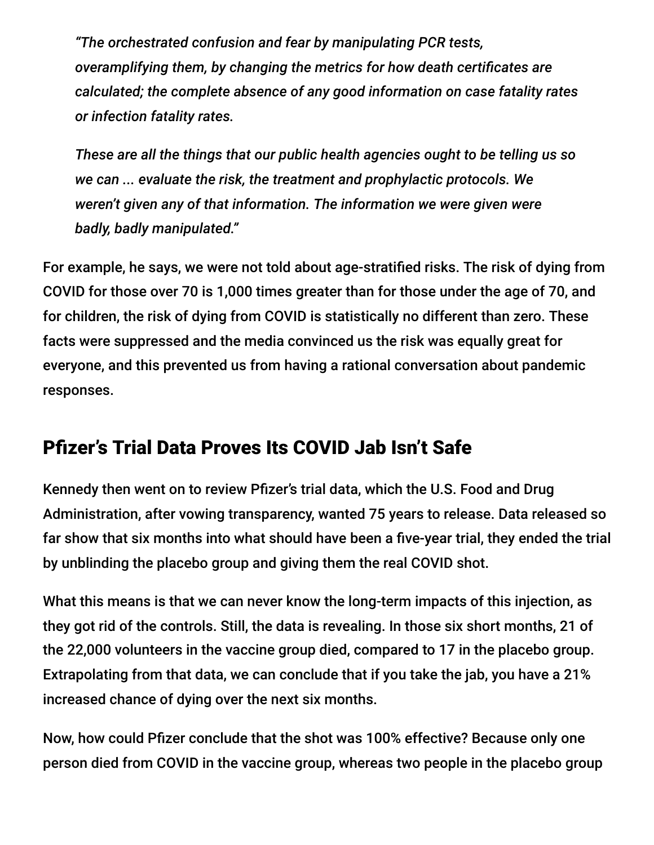*"The orchestrated confusion and fear by manipulating PCR tests, overamplifying them, by changing the metrics for how death certificates are calculated; the complete absence of any good information on case fatality rates or infection fatality rates.*

*These are all the things that our public health agencies ought to be telling us so we can ... evaluate the risk, the treatment and prophylactic protocols. We weren't given any of that information. The information we were given were badly, badly manipulated."*

For example, he says, we were not told about age-stratified risks. The risk of dying from COVID for those over 70 is 1,000 times greater than for those under the age of 70, and for children, the risk of dying from COVID is statistically no different than zero. These facts were suppressed and the media convinced us the risk was equally great for everyone, and this prevented us from having a rational conversation about pandemic responses.

## Pfizer's Trial Data Proves Its COVID Jab Isn't Safe

Kennedy then went on to review Pfizer's trial data, which the U.S. Food and Drug Administration, after vowing transparency, wanted 75 years to release. Data released so far show that six months into what should have been a five-year trial, they ended the trial by unblinding the placebo group and giving them the real COVID shot.

What this means is that we can never know the long-term impacts of this injection, as they got rid of the controls. Still, the data is revealing. In those six short months, 21 of the 22,000 volunteers in the vaccine group died, compared to 17 in the placebo group. Extrapolating from that data, we can conclude that if you take the jab, you have a 21% increased chance of dying over the next six months.

Now, how could Pfizer conclude that the shot was 100% effective? Because only one person died from COVID in the vaccine group, whereas two people in the placebo group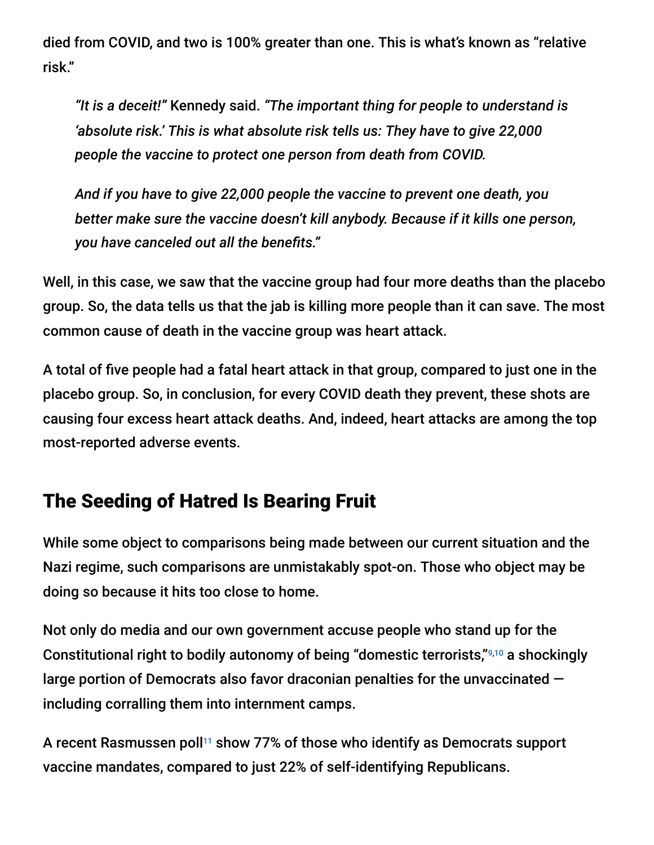died from COVID, and two is 100% greater than one. This is what's known as "relative risk."

*"It is a deceit!"* Kennedy said. *"The important thing for people to understand is 'absolute risk.' This is what absolute risk tells us: They have to give 22,000 people the vaccine to protect one person from death from COVID.*

*And if you have to give 22,000 people the vaccine to prevent one death, you better make sure the vaccine doesn't kill anybody. Because if it kills one person, you have canceled out all the benefits."*

Well, in this case, we saw that the vaccine group had four more deaths than the placebo group. So, the data tells us that the jab is killing more people than it can save. The most common cause of death in the vaccine group was heart attack.

A total of five people had a fatal heart attack in that group, compared to just one in the placebo group. So, in conclusion, for every COVID death they prevent, these shots are causing four excess heart attack deaths. And, indeed, heart attacks are among the top most-reported adverse events.

### The Seeding of Hatred Is Bearing Fruit

While some object to comparisons being made between our current situation and the Nazi regime, such comparisons are unmistakably spot-on. Those who object may be doing so because it hits too close to home.

Not only do media and our own government accuse people who stand up for the Constitutional right to bodily autonomy of being "domestic terrorists,"<sup>9,10</sup> a shockingly large portion of Democrats also favor draconian penalties for the unvaccinated including corralling them into internment camps.

A recent Rasmussen poll $^{11}$  show 77% of those who identify as Democrats support vaccine mandates, compared to just 22% of self-identifying Republicans.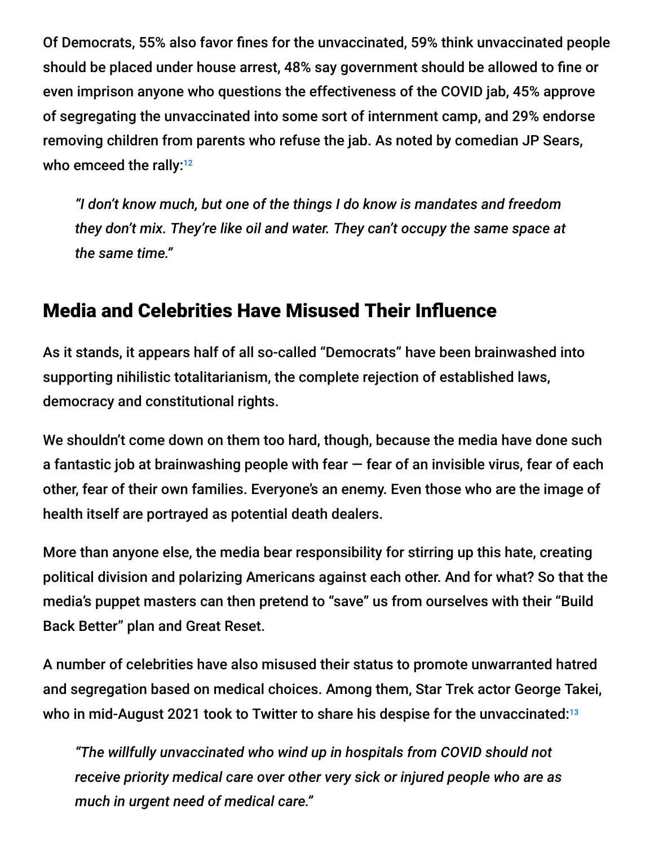Of Democrats, 55% also favor fines for the unvaccinated, 59% think unvaccinated people should be placed under house arrest, 48% say government should be allowed to fine or even imprison anyone who questions the effectiveness of the COVID jab, 45% approve of segregating the unvaccinated into some sort of internment camp, and 29% endorse removing children from parents who refuse the jab. As noted by comedian JP Sears, who emceed the rally:<sup>12</sup>

*"I don't know much, but one of the things I do know is mandates and freedom they don't mix. They're like oil and water. They can't occupy the same space at the same time."*

## Media and Celebrities Have Misused Their Influence

As it stands, it appears half of all so-called "Democrats" have been brainwashed into supporting nihilistic totalitarianism, the complete rejection of established laws, democracy and constitutional rights.

We shouldn't come down on them too hard, though, because the media have done such a fantastic job at brainwashing people with fear  $-$  fear of an invisible virus, fear of each other, fear of their own families. Everyone's an enemy. Even those who are the image of health itself are portrayed as potential death dealers.

More than anyone else, the media bear responsibility for stirring up this hate, creating political division and polarizing Americans against each other. And for what? So that the media's puppet masters can then pretend to "save" us from ourselves with their "Build Back Better" plan and Great Reset.

A number of celebrities have also misused their status to promote unwarranted hatred and segregation based on medical choices. Among them, Star Trek actor George Takei, who in mid-August 2021 took to Twitter to share his despise for the unvaccinated: 13

*"The willfully unvaccinated who wind up in hospitals from COVID should not receive priority medical care over other very sick or injured people who are as much in urgent need of medical care."*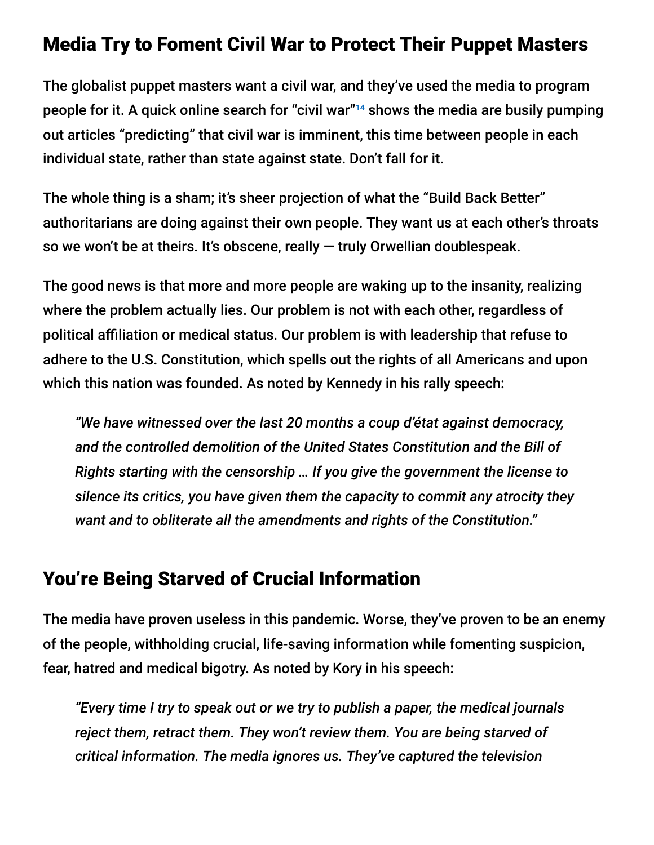#### Media Try to Foment Civil War to Protect Their Puppet Masters

The globalist puppet masters want a civil war, and they've used the media to program people for it. A quick online search for "civil war"<sup>14</sup> shows the media are busily pumping out articles "predicting" that civil war is imminent, this time between people in each individual state, rather than state against state. Don't fall for it.

The whole thing is a sham; it's sheer projection of what the "Build Back Better" authoritarians are doing against their own people. They want us at each other's throats so we won't be at theirs. It's obscene, really — truly Orwellian doublespeak.

The good news is that more and more people are waking up to the insanity, realizing where the problem actually lies. Our problem is not with each other, regardless of political affiliation or medical status. Our problem is with leadership that refuse to adhere to the U.S. Constitution, which spells out the rights of all Americans and upon which this nation was founded. As noted by Kennedy in his rally speech:

*"We have witnessed over the last 20 months a coup d'état against democracy, and the controlled demolition of the United States Constitution and the Bill of Rights starting with the censorship … If you give the government the license to silence its critics, you have given them the capacity to commit any atrocity they want and to obliterate all the amendments and rights of the Constitution."*

#### You're Being Starved of Crucial Information

The media have proven useless in this pandemic. Worse, they've proven to be an enemy of the people, withholding crucial, life-saving information while fomenting suspicion, fear, hatred and medical bigotry. As noted by Kory in his speech:

*"Every time I try to speak out or we try to publish a paper, the medical journals reject them, retract them. They won't review them. You are being starved of critical information. The media ignores us. They've captured the television*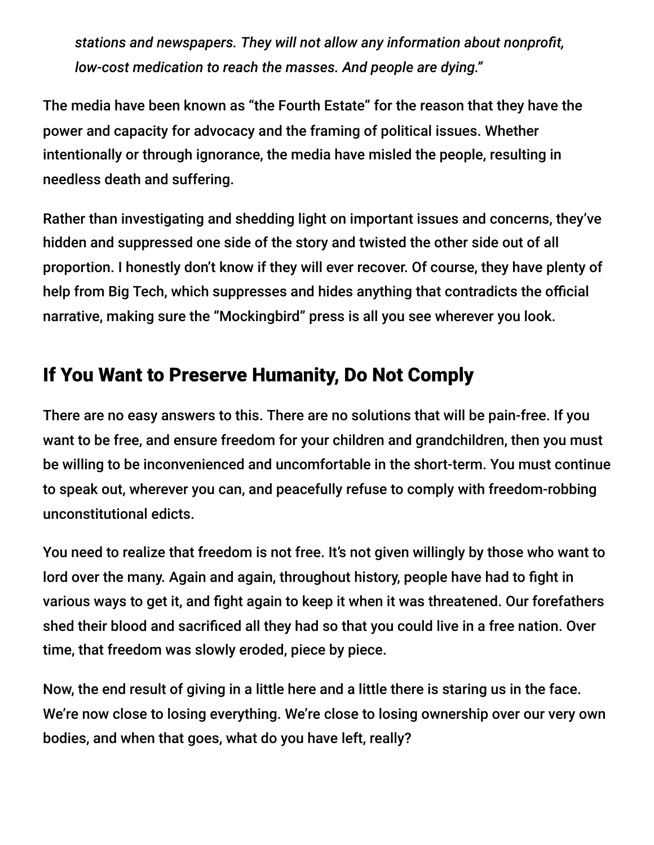*stations and newspapers. They will not allow any information about nonprofit, low-cost medication to reach the masses. And people are dying."*

The media have been known as "the Fourth Estate" for the reason that they have the power and capacity for advocacy and the framing of political issues. Whether intentionally or through ignorance, the media have misled the people, resulting in needless death and suffering.

Rather than investigating and shedding light on important issues and concerns, they've hidden and suppressed one side of the story and twisted the other side out of all proportion. I honestly don't know if they will ever recover. Of course, they have plenty of help from Big Tech, which suppresses and hides anything that contradicts the official narrative, making sure the "Mockingbird" press is all you see wherever you look.

# If You Want to Preserve Humanity, Do Not Comply

There are no easy answers to this. There are no solutions that will be pain-free. If you want to be free, and ensure freedom for your children and grandchildren, then you must be willing to be inconvenienced and uncomfortable in the short-term. You must continue to speak out, wherever you can, and peacefully refuse to comply with freedom-robbing unconstitutional edicts.

You need to realize that freedom is not free. It's not given willingly by those who want to lord over the many. Again and again, throughout history, people have had to fight in various ways to get it, and fight again to keep it when it was threatened. Our forefathers shed their blood and sacrificed all they had so that you could live in a free nation. Over time, that freedom was slowly eroded, piece by piece.

Now, the end result of giving in a little here and a little there is staring us in the face. We're now close to losing everything. We're close to losing ownership over our very own bodies, and when that goes, what do you have left, really?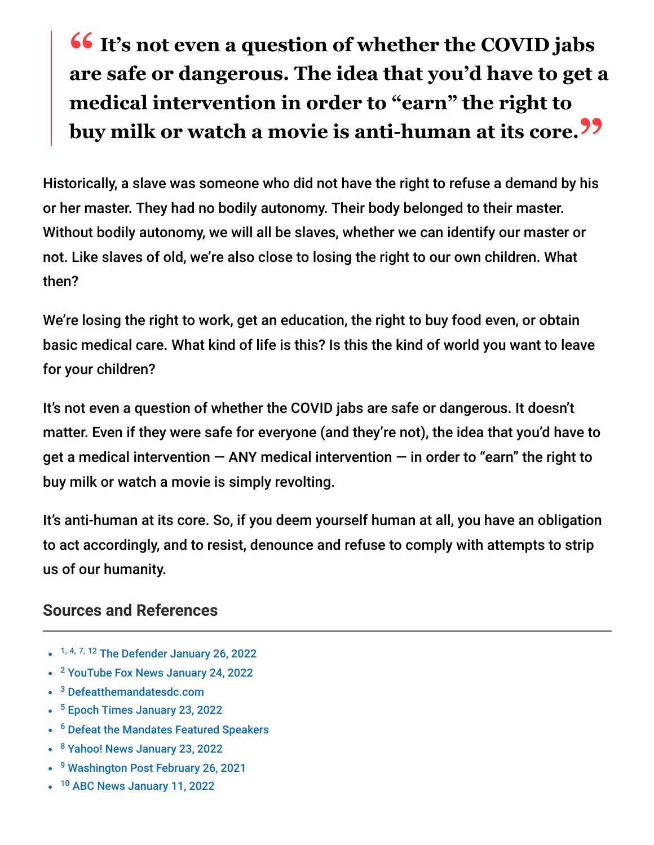# **<sup>66</sup>** It's not even a question of whether the COVID jabs<br>are safe or dangerous. The idea that you'd have to get **are safe or dangerous. The idea that you'd have to get a medical intervention in order to "earn" the right to buy milk or watch a movie is anti-human at its core."**

Historically, a slave was someone who did not have the right to refuse a demand by his or her master. They had no bodily autonomy. Their body belonged to their master. Without bodily autonomy, we will all be slaves, whether we can identify our master or not. Like slaves of old, we're also close to losing the right to our own children. What then?

We're losing the right to work, get an education, the right to buy food even, or obtain basic medical care. What kind of life is this? Is this the kind of world you want to leave for your children?

It's not even a question of whether the COVID jabs are safe or dangerous. It doesn't matter. Even if they were safe for everyone (and they're not), the idea that you'd have to get a medical intervention  $-$  ANY medical intervention  $-$  in order to "earn" the right to buy milk or watch a movie is simply revolting.

It's anti-human at its core. So, if you deem yourself human at all, you have an obligation to act accordingly, and to resist, denounce and refuse to comply with attempts to strip us of our humanity.

#### **Sources and References**

- <sup>1, 4, 7, 12</sup> [The Defender January 26, 2022](https://childrenshealthdefense.org/defender/mandates-freedom-rally-dc-constitutional-rights/?utm_source=salsa&eType=EmailBlastContent&eId=edb56e28-2118-4a42-9471-0c0f7aa41062)
- <sup>2</sup> [YouTube Fox News January 24, 2022](https://www.youtube.com/watch?v=EwLXOR1SaKA)
- <sup>3</sup> [Defeatthemandatesdc.com](https://defeatthemandatesdc.com/)
- <sup>5</sup> [Epoch Times January 23, 2022](https://www.theepochtimes.com/defeat-the-mandates-thousands-protest-in-washington-dc-against-vaccine-requirements_4230872.html)
- <sup>6</sup> [Defeat the Mandates Featured Speakers](https://defeatthemandatesdc.com/speakers/)
- <sup>8</sup> [Yahoo! News January 23, 2022](https://finance.yahoo.com/news/washington-dc-apos-defeat-mandates-210250556.html)
- <sup>9</sup> [Washington Post February 26, 2021](https://www.washingtonpost.com/opinions/anti-vaccine-extremism-is-akin-to-domestic-terrorism/2021/02/26/736aee22-787e-11eb-8115-9ad5e9c02117_story.html)
- <sup>10</sup> [ABC News January 11, 2022](https://abcnews.go.com/Politics/wireStory/justice-dept-creating-unit-focused-domestic-terrorism-82199259)